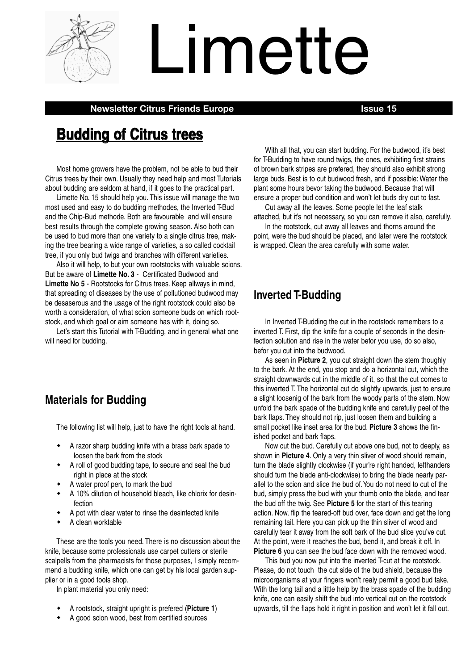

# Limette

**Newsletter Citrus Friends Europe Issue 15**

# **Budding of Citrus trees**

Most home growers have the problem, not be able to bud their Citrus trees by their own. Usually they need help and most Tutorials about budding are seldom at hand, if it goes to the practical part.

Limette No. 15 should help you. This issue will manage the two most used and easy to do budding methodes, the Inverted T-Bud and the Chip-Bud methode. Both are favourable and will ensure best results through the complete growing season. Also both can be used to bud more than one variety to a single citrus tree, making the tree bearing a wide range of varieties, a so called cocktail tree, if you only bud twigs and branches with different varieties.

Also it will help, to but your own rootstocks with valuable scions. But be aware of **Limette No. 3** - Certificated Budwood and **Limette No 5** - Rootstocks for Citrus trees. Keep allways in mind, that spreading of diseases by the use of pollutioned budwood may be desaserous and the usage of the right rootstock could also be worth a consideration, of what scion someone buds on which rootstock, and which goal or aim someone has with it, doing so.

Let's start this Tutorial with T-Budding, and in general what one will need for budding.

# **Materials for Budding**

The following list will help, just to have the right tools at hand.

- $\bullet$  A razor sharp budding knife with a brass bark spade to loosen the bark from the stock
- $\bullet$  A roll of good budding tape, to secure and seal the bud right in place at the stock
- $\bullet$ A water proof pen, to mark the bud
- $\bullet$  A 10% dilution of household bleach, like chlorix for desinfection
- $\bullet$ A pot with clear water to rinse the desinfected knife
- $\bullet$ A clean worktable

These are the tools you need. There is no discussion about the knife, because some professionals use carpet cutters or sterile scalpells from the pharmacists for those purposes, I simply recommend a budding knife, which one can get by his local garden supplier or in a good tools shop.

In plant material you only need:

- $\bullet$ A rootstock, straight upright is prefered (**Picture 1**)
- $\bullet$ A good scion wood, best from certified sources

With all that, you can start budding. For the budwood, it's best for T-Budding to have round twigs, the ones, exhibiting first strains of brown bark stripes are prefered, they should also exhibit strong large buds. Best is to cut budwood fresh, and if possible: Water the plant some hours bevor taking the budwood. Because that will ensure a proper bud condition and won't let buds dry out to fast.

Cut away all the leaves. Some people let the leaf stalk attached, but it's not necessary, so you can remove it also, carefully.

In the rootstock, cut away all leaves and thorns around the point, were the bud should be placed, and later were the rootstock is wrapped. Clean the area carefully with some water.

# **Inverted T-Budding**

In Inverted T-Budding the cut in the rootstock remembers to a inverted T. First, dip the knife for a couple of seconds in the desinfection solution and rise in the water befor you use, do so also, befor you cut into the budwood.

As seen in **Picture 2**, you cut straight down the stem thoughly to the bark. At the end, you stop and do a horizontal cut, which the straight downwards cut in the middle of it, so that the cut comes to this inverted T. The horizontal cut do slightly upwards, just to ensure a slight loosenig of the bark from the woody parts of the stem. Now unfold the bark spade of the budding knife and carefully peel of the bark flaps. They should not rip, just loosen them and building a small pocket like inset area for the bud. **Picture 3** shows the finished pocket and bark flaps.

Now cut the bud. Carefully cut above one bud, not to deeply, as shown in **Picture 4**. Only a very thin sliver of wood should remain, turn the blade slightly clockwise (if your're right handed, lefthanders should turn the blade anti-clockwise) to bring the blade nearly parallel to the scion and slice the bud of.You do not need to cut of the bud, simply press the bud with your thumb onto the blade, and tear the bud off the twig. See **Picture 5** for the start of this tearing action. Now, flip the teared-off bud over, face down and get the long remaining tail. Here you can pick up the thin sliver of wood and carefully tear it away from the soft bark of the bud slice you've cut. At the point, were it reaches the bud, bend it, and break it off. In **Picture 6** you can see the bud face down with the removed wood.

This bud you now put into the inverted T-cut at the rootstock. Please, do not touch the cut side of the bud shield, because the microorganisms at your fingers won't realy permit a good bud take. With the long tail and a little help by the brass spade of the budding knife, one can easily shift the bud into vertical cut on the rootstock upwards, till the flaps hold it right in position and won't let it fall out.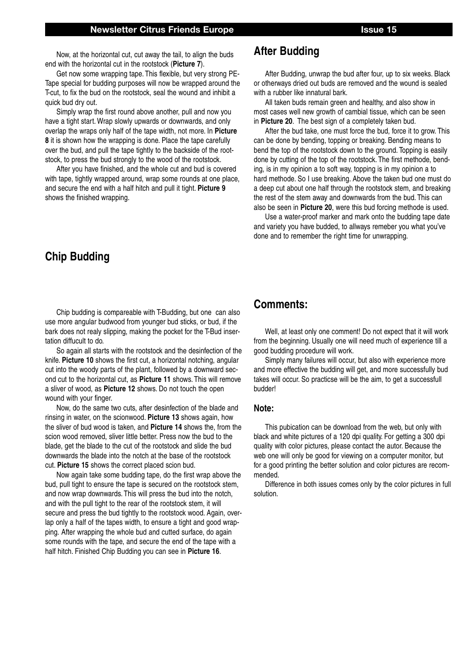Now, at the horizontal cut, cut away the tail, to align the buds end with the horizontal cut in the rootstock (**Picture 7**).

Get now some wrapping tape. This flexible, but very strong PE-Tape special for budding purposes will now be wrapped around the T-cut, to fix the bud on the rootstock, seal the wound and inhibit a quick bud dry out.

Simply wrap the first round above another, pull and now you have a tight start.Wrap slowly upwards or downwards, and only overlap the wraps only half of the tape width, not more. In **Picture 8** it is shown how the wrapping is done. Place the tape carefully over the bud, and pull the tape tightly to the backside of the rootstock, to press the bud strongly to the wood of the rootstock.

After you have finished, and the whole cut and bud is covered with tape, tightly wrapped around, wrap some rounds at one place, and secure the end with a half hitch and pull it tight. **Picture 9** shows the finished wrapping.

# **Chip Budding**

Chip budding is compareable with T-Budding, but one can also use more angular budwood from younger bud sticks, or bud, if the bark does not realy slipping, making the pocket for the T-Bud insertation diffucult to do.

So again all starts with the rootstock and the desinfection of the knife. **Picture 10** shows the first cut, a horizontal notching, angular cut into the woody parts of the plant, followed by a downward second cut to the horizontal cut, as **Picture 11** shows. This will remove a sliver of wood, as **Picture 12** shows. Do not touch the open wound with your finger.

Now, do the same two cuts, after desinfection of the blade and rinsing in water, on the scionwood. **Picture 13** shows again, how the sliver of bud wood is taken, and **Picture 14** shows the, from the scion wood removed, sliver little better. Press now the bud to the blade, get the blade to the cut of the rootstock and slide the bud downwards the blade into the notch at the base of the rootstock cut. **Picture 15** shows the correct placed scion bud.

Now again take some budding tape, do the first wrap above the bud, pull tight to ensure the tape is secured on the rootstock stem, and now wrap downwards. This will press the bud into the notch, and with the pull tight to the rear of the rootstock stem, it will secure and press the bud tightly to the rootstock wood. Again, overlap only a half of the tapes width, to ensure a tight and good wrapping. After wrapping the whole bud and cutted surface, do again some rounds with the tape, and secure the end of the tape with a half hitch. Finished Chip Budding you can see in **Picture 16**.

# **After Budding**

After Budding, unwrap the bud after four, up to six weeks. Black or otherways dried out buds are removed and the wound is sealed with a rubber like innatural bark.

All taken buds remain green and healthy, and also show in most cases well new growth of cambial tissue, which can be seen in **Picture 20**. The best sign of a completely taken bud.

After the bud take, one must force the bud, force it to grow. This can be done by bending, topping or breaking. Bending means to bend the top of the rootstock down to the ground. Topping is easily done by cutting of the top of the rootstock. The first methode, bending, is in my opinion a to soft way, topping is in my opinion a to hard methode. So I use breaking. Above the taken bud one must do a deep cut about one half through the rootstock stem, and breaking the rest of the stem away and downwards from the bud. This can also be seen in **Picture 20**, were this bud forcing methode is used.

Use a water-proof marker and mark onto the budding tape date and variety you have budded, to allways remeber you what you've done and to remember the right time for unwrapping.

# **Comments:**

Well, at least only one comment! Do not expect that it will work from the beginning. Usually one will need much of experience till a good budding procedure will work.

Simply many failures will occur, but also with experience more and more effective the budding will get, and more successfully bud takes will occur. So practicse will be the aim, to get a successfull budder!

### **Note:**

This pubication can be download from the web, but only with black and white pictures of a 120 dpi quality. For getting a 300 dpi quality with color pictures, please contact the autor. Because the web one will only be good for viewing on a computer monitor, but for a good printing the better solution and color pictures are recommended.

Difference in both issues comes only by the color pictures in full solution.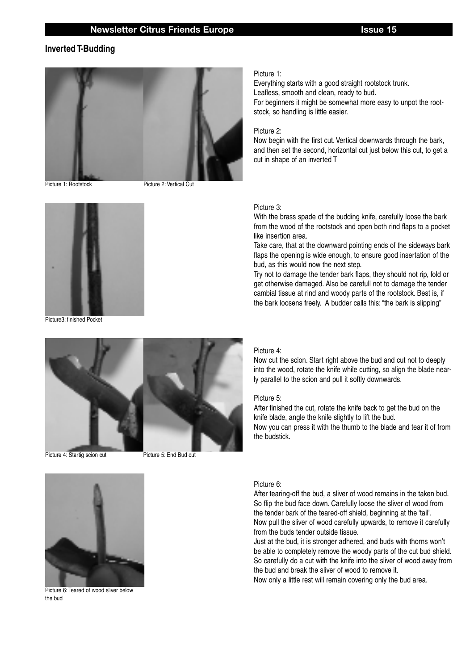### **Inverted T-Budding**



Picture 1: Rootstock

Picture 2: Vertical Cut



Picture3: finished Pocket



Picture 4: Startig scion cut

Picture 5: End Bud cut



Picture 6: Teared of wood sliver below the bud

### Picture 1:

Everything starts with a good straight rootstock trunk. Leafless, smooth and clean, ready to bud. For beginners it might be somewhat more easy to unpot the rootstock, so handling is little easier.

### Picture 2:

Now begin with the first cut. Vertical downwards through the bark, and then set the second, horizontal cut just below this cut, to get a cut in shape of an inverted T

### Picture 3:

With the brass spade of the budding knife, carefully loose the bark from the wood of the rootstock and open both rind flaps to a pocket like insertion area.

Take care, that at the downward pointing ends of the sideways bark flaps the opening is wide enough, to ensure good insertation of the bud, as this would now the next step.

Try not to damage the tender bark flaps, they should not rip, fold or get otherwise damaged. Also be carefull not to damage the tender cambial tissue at rind and woody parts of the rootstock. Best is, if the bark loosens freely. A budder calls this: "the bark is slipping"

### Picture 4:

Now cut the scion. Start right above the bud and cut not to deeply into the wood, rotate the knife while cutting, so align the blade nearly parallel to the scion and pull it softly downwards.

### Picture 5:

After finished the cut, rotate the knife back to get the bud on the knife blade, angle the knife slightly to lift the bud. Now you can press it with the thumb to the blade and tear it of from the budstick.

### Picture 6:

After tearing-off the bud, a sliver of wood remains in the taken bud. So flip the bud face down. Carefully loose the sliver of wood from the tender bark of the teared-off shield, beginning at the 'tail'. Now pull the sliver of wood carefully upwards, to remove it carefully from the buds tender outside tissue.

Just at the bud, it is stronger adhered, and buds with thorns won't be able to completely remove the woody parts of the cut bud shield. So carefully do a cut with the knife into the sliver of wood away from the bud and break the sliver of wood to remove it.

Now only a little rest will remain covering only the bud area.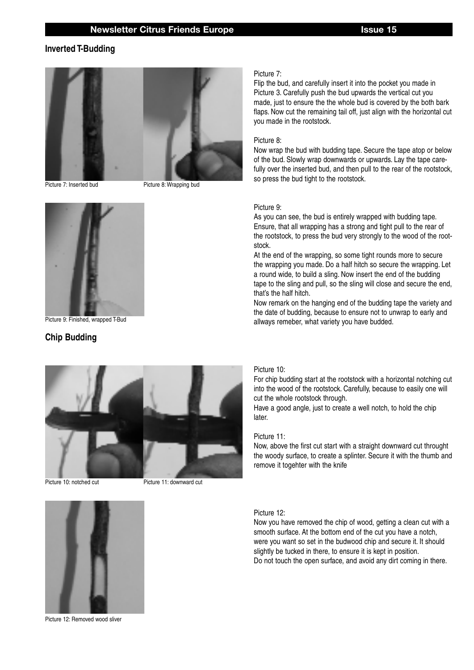### **Inverted T-Budding**



Picture 7: Inserted bud Picture 8: Wrapping bud



Picture 9: Finished, wrapped T-Bud

### **Chip Budding**



Picture 10: notched cut Picture 11: downward cut



### Picture 7:

Flip the bud, and carefully insert it into the pocket you made in Picture 3. Carefully push the bud upwards the vertical cut you made, just to ensure the the whole bud is covered by the both bark flaps. Now cut the remaining tail off, just align with the horizontal cut you made in the rootstock.

### Picture 8:

Now wrap the bud with budding tape. Secure the tape atop or below of the bud. Slowly wrap downwards or upwards. Lay the tape carefully over the inserted bud, and then pull to the rear of the rootstock, so press the bud tight to the rootstock.

### Picture 9:

As you can see, the bud is entirely wrapped with budding tape. Ensure, that all wrapping has a strong and tight pull to the rear of the rootstock, to press the bud very strongly to the wood of the rootstock.

At the end of the wrapping, so some tight rounds more to secure the wrapping you made. Do a half hitch so secure the wrapping. Let a round wide, to build a sling. Now insert the end of the budding tape to the sling and pull, so the sling will close and secure the end, that's the half hitch.

Now remark on the hanging end of the budding tape the variety and the date of budding, because to ensure not to unwrap to early and allways remeber, what variety you have budded.

### Picture 10:

For chip budding start at the rootstock with a horizontal notching cut into the wood of the rootstock. Carefully, because to easily one will cut the whole rootstock through.

Have a good angle, just to create a well notch, to hold the chip later.

### Picture 11:

Now, above the first cut start with a straight downward cut throught the woody surface, to create a splinter. Secure it with the thumb and remove it togehter with the knife

### Picture 12:

Now you have removed the chip of wood, getting a clean cut with a smooth surface. At the bottom end of the cut you have a notch, were you want so set in the budwood chip and secure it. It should slightly be tucked in there, to ensure it is kept in position. Do not touch the open surface, and avoid any dirt coming in there.



Picture 12: Removed wood sliver